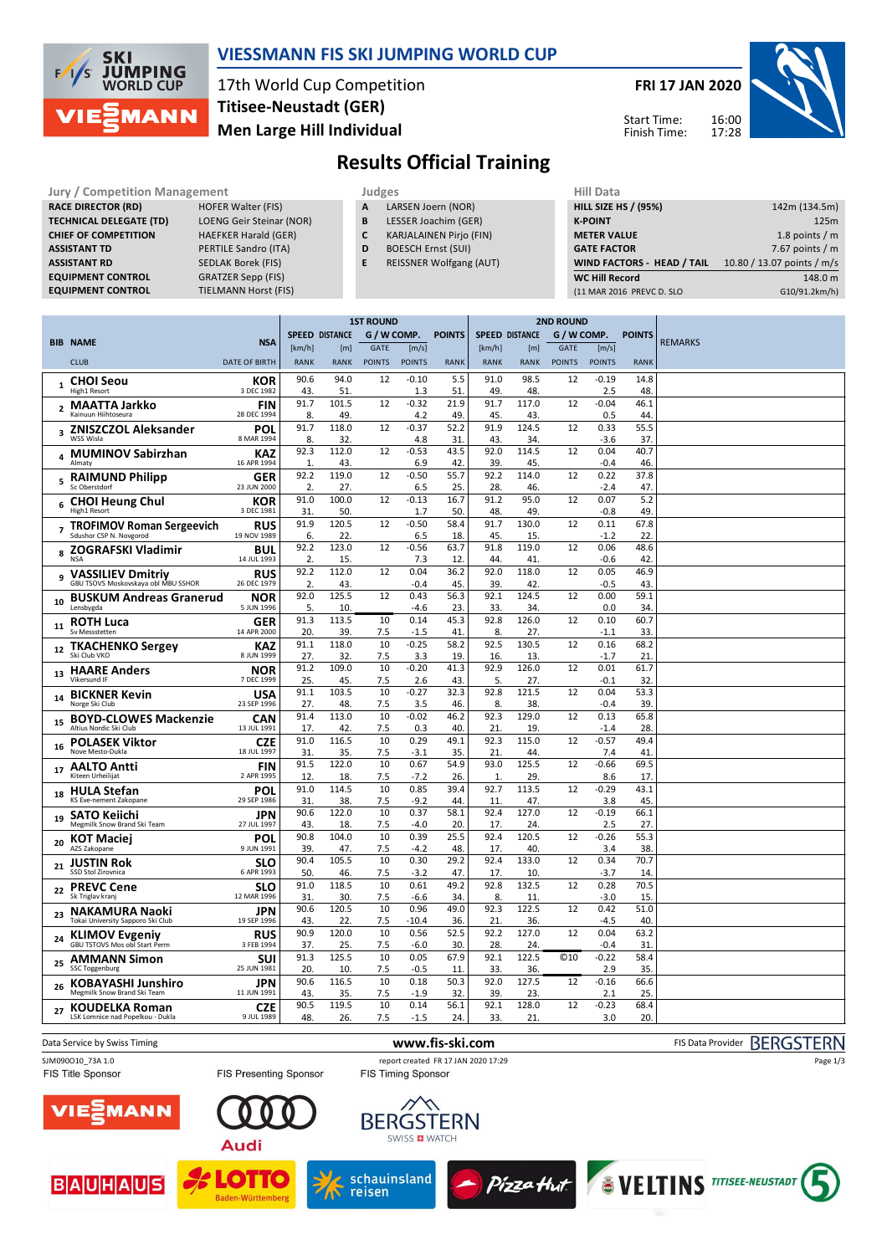

### **VIESSMANN FIS SKI JUMPING WORLD CUP**

## 17th World Cup Competition **Men Large Hill Individual Titisee-Neustadt (GER)**

**FRI 17 JAN 2020**

Start Time: Finish Time:



# **Results Official Training**

| <b>Jury / Competition Management</b> |                                 | Judges | <b>Hill Data</b> |                                |  |                    |
|--------------------------------------|---------------------------------|--------|------------------|--------------------------------|--|--------------------|
| <b>RACE DIRECTOR (RD)</b>            | <b>HOFER Walter (FIS)</b>       |        | A                | LARSEN Joern (NOR)             |  | <b>HILL SIZE I</b> |
| <b>TECHNICAL DELEGATE (TD)</b>       | <b>LOENG Geir Steinar (NOR)</b> |        | B                | LESSER Joachim (GER)           |  | <b>K-POINT</b>     |
| <b>CHIEF OF COMPETITION</b>          | <b>HAEFKER Harald (GER)</b>     |        | C                | <b>KARJALAINEN Pirjo (FIN)</b> |  | <b>METER VA</b>    |
| <b>ASSISTANT TD</b>                  | PERTILE Sandro (ITA)            |        | D                | <b>BOESCH Ernst (SUI)</b>      |  | <b>GATE FACT</b>   |
| <b>ASSISTANT RD</b>                  | <b>SEDLAK Borek (FIS)</b>       |        | E                | <b>REISSNER Wolfgang (AUT)</b> |  | <b>WIND FAC</b>    |
| <b>EQUIPMENT CONTROL</b>             | <b>GRATZER Sepp (FIS)</b>       |        |                  |                                |  | <b>WC Hill Re</b>  |
| <b>EQUIPMENT CONTROL</b>             | <b>TIELMANN Horst (FIS)</b>     |        |                  |                                |  | (11 MAR 20)        |

- **A** LARSEN Joern (NOR)
- **B** LESSER Joachim (GER)
- **C** KARJALAINEN Pirjo (FIN)
- **D** BOESCH Ernst (SUI)
- **E** REISSNER Wolfgang (AUT)

| niil Data                         |                            |
|-----------------------------------|----------------------------|
| <b>HILL SIZE HS / (95%)</b>       | 142m (134.5m)              |
| <b>K-POINT</b>                    | 125m                       |
| <b>METER VALUE</b>                | 1.8 points $/m$            |
| <b>GATE FACTOR</b>                | 7.67 points $/m$           |
| <b>WIND FACTORS - HEAD / TAIL</b> | 10.80 / 13.07 points / m/s |
| <b>WC Hill Record</b>             | 148.0 m                    |
| (11 MAR 2016 PREVC D. SLO         | G10/91.2km/h)              |
|                                   |                            |

|                         |                                                             |                           | <b>1ST ROUND</b> |                       |               | <b>2ND ROUND</b> |               |                       |              |                 |                |               |                |
|-------------------------|-------------------------------------------------------------|---------------------------|------------------|-----------------------|---------------|------------------|---------------|-----------------------|--------------|-----------------|----------------|---------------|----------------|
|                         | <b>BIB NAME</b>                                             | <b>NSA</b>                |                  | <b>SPEED DISTANCE</b> | G / W COMP.   |                  | <b>POINTS</b> | <b>SPEED DISTANCE</b> |              | G / W COMP.     |                | <b>POINTS</b> | <b>REMARKS</b> |
|                         |                                                             |                           | [km/h]           | [m]                   | <b>GATE</b>   | [m/s]            |               | [km/h]                | [m]          | <b>GATE</b>     | [m/s]          |               |                |
|                         | <b>CLUB</b>                                                 | <b>DATE OF BIRTH</b>      | <b>RANK</b>      | <b>RANK</b>           | <b>POINTS</b> | <b>POINTS</b>    | <b>RANK</b>   | <b>RANK</b>           | <b>RANK</b>  | <b>POINTS</b>   | <b>POINTS</b>  | <b>RANK</b>   |                |
|                         | <b>CHOI Seou</b>                                            | KOR                       | 90.6             | 94.0                  | 12            | $-0.10$          | 5.5           | 91.0                  | 98.5         | 12              | $-0.19$        | 14.8          |                |
| $\mathbf{1}$            | High1 Resort                                                | 3 DFC 1982                | 43               | 51.                   |               | 1.3              | 51.           | 49                    | 48.          |                 | 2.5            | 48            |                |
| $\overline{\mathbf{2}}$ | <b>MAATTA Jarkko</b>                                        | <b>FIN</b>                | 91.7             | 101.5                 | 12            | $-0.32$          | 21.9          | 91.7                  | 117.0        | 12              | $-0.04$        | 46.1          |                |
|                         | Kainuun Hiihtoseura                                         | 28 DEC 1994               | 8                | 49.                   |               | 4.2              | 49.           | 45.                   | 43.          |                 | 0.5            | 44            |                |
| 3                       | <b>ZNISZCZOL Aleksander</b><br>WSS Wisla                    | POL<br>8 MAR 1994         | 91.7             | 118.0                 | 12            | $-0.37$          | 52.2          | 91.9                  | 124.5        | 12              | 0.33           | 55.5          |                |
|                         |                                                             | <b>KAZ</b>                | 8.<br>92.3       | 32.<br>112.0          | 12            | 4.8<br>$-0.53$   | 31<br>43.5    | 43.<br>92.0           | 34.<br>114.5 | 12              | $-3.6$<br>0.04 | 37<br>40.7    |                |
| 4                       | <b>MUMINOV Sabirzhan</b><br>Almaty                          | 16 APR 1994               | 1.               | 43.                   |               | 6.9              | 42.           | 39.                   | 45           |                 | $-0.4$         | 46            |                |
| 5                       | <b>RAIMUND Philipp</b>                                      | <b>GER</b>                | 92.2             | 119.0                 | 12            | $-0.50$          | 55.7          | 92.2                  | 114.0        | 12              | 0.22           | 37.8          |                |
|                         | Sc Oberstdorf                                               | 23 JUN 2000               | 2.               | 27.                   |               | 6.5              | 25.           | 28.                   | 46.          |                 | $-2.4$         | 47            |                |
| 6                       | <b>CHOI Heung Chul</b>                                      | KOR                       | 91.0             | 100.0                 | 12            | $-0.13$          | 16.7          | 91.2                  | 95.0         | 12              | 0.07           | 5.2           |                |
|                         | High1 Resort                                                | 3 DEC 1981                | 31               | 50.                   |               | 1.7              | 50.           | 48.                   | 49           |                 | $-0.8$         | 49            |                |
|                         | <b>TROFIMOV Roman Sergeevich</b><br>Sdushor CSP N. Novgorod | RUS<br>19 NOV 1989        | 91.9<br>6.       | 120.5<br>22.          | 12            | $-0.50$<br>6.5   | 58.4<br>18.   | 91.7<br>45.           | 130.0<br>15. | 12              | 0.11<br>$-1.2$ | 67.8<br>22    |                |
|                         | <b>ZOGRAFSKI Vladimir</b>                                   | <b>BUL</b>                | 92.2             | 123.0                 | 12            | $-0.56$          | 63.7          | 91.8                  | 119.0        | 12              | 0.06           | 48.6          |                |
| 8                       | <b>NSA</b>                                                  | 14 JUL 1993               | 2.               | 15.                   |               | 7.3              | 12.           | 44                    | 41           |                 | $-0.6$         | 42            |                |
| 9                       | <b>VASSILIEV Dmitriv</b>                                    | <b>RUS</b>                | 92.2             | 112.0                 | 12            | 0.04             | 36.2          | 92.0                  | 118.0        | 12              | 0.05           | 46.9          |                |
|                         | GBU TSOVS Moskovskaya obl MBU SSHOR                         | 26 DEC 1979               | 2.               | 43.                   |               | $-0.4$           | 45.           | 39.                   | 42           |                 | $-0.5$         | 43            |                |
| 10                      | <b>BUSKUM Andreas Granerud</b>                              | <b>NOR</b>                | 92.0             | 125.5                 | 12            | 0.43             | 56.3          | 92.1                  | 124.5        | 12              | 0.00           | 59.1          |                |
|                         | Lensbygda                                                   | 5 JUN 1996                | 5.<br>91.3       | 10.<br>113.5          | 10            | $-4.6$<br>0.14   | 23.<br>45.3   | 33.<br>92.8           | 34.<br>126.0 | 12              | 0.0<br>0.10    | 34<br>60.7    |                |
| 11                      | <b>ROTH Luca</b><br>Sv Messstetten                          | <b>GER</b><br>14 APR 2000 | 20.              | 39.                   | 7.5           | $-1.5$           | 41            | 8.                    | 27.          |                 | $-1.1$         | 33            |                |
|                         | <b>TKACHENKO Sergey</b>                                     | <b>KAZ</b>                | 91.1             | 118.0                 | 10            | $-0.25$          | 58.2          | 92.5                  | 130.5        | 12              | 0.16           | 68.2          |                |
| 12                      | Ski Club VKO                                                | 8 JUN 1999                | 27.              | 32.                   | 7.5           | 3.3              | 19.           | 16.                   | 13.          |                 | $-1.7$         | 21            |                |
| 13                      | <b>HAARE Anders</b>                                         | <b>NOR</b>                | 91.2             | 109.0                 | 10            | $-0.20$          | 41.3          | 92.9                  | 126.0        | 12              | 0.01           | 61.7          |                |
|                         | Vikersund IF                                                | 7 DEC 1999                | 25.              | 45.                   | 7.5           | 2.6              | 43.           | 5.                    | 27.          |                 | $-0.1$         | 32            |                |
| 14                      | <b>BICKNER Kevin</b><br>Norge Ski Club                      | <b>USA</b><br>23 SEP 1996 | 91.1<br>27.      | 103.5<br>48.          | 10<br>7.5     | $-0.27$<br>3.5   | 32.3<br>46.   | 92.8<br>8.            | 121.5<br>38. | 12              | 0.04<br>$-0.4$ | 53.3<br>39    |                |
|                         | <b>BOYD-CLOWES Mackenzie</b>                                | <b>CAN</b>                | 91.4             | 113.0                 | 10            | $-0.02$          | 46.2          | 92.3                  | 129.0        | 12              | 0.13           | 65.8          |                |
| 15                      | Altius Nordic Ski Club                                      | 13 JUL 1991               | 17               | 42                    | 7.5           | 0.3              | 40            | 21                    | 19           |                 | $-1.4$         | 28            |                |
| 16                      | <b>POLASEK Viktor</b>                                       | CZE                       | 91.0             | 116.5                 | 10            | 0.29             | 49.1          | 92.3                  | 115.0        | 12              | $-0.57$        | 49.4          |                |
|                         | Nove Mesto-Dukla                                            | 18 JUL 1997               | 31               | 35.                   | 7.5           | $-3.1$           | 35.           | 21                    | 44.          |                 | 7.4            | 41            |                |
| 17                      | <b>AALTO Antti</b><br>Kiteen Urheilijat                     | <b>FIN</b><br>2 APR 1995  | 91.5<br>12.      | 122.0<br>18.          | 10<br>7.5     | 0.67<br>$-7.2$   | 54.9<br>26    | 93.0<br>$\mathbf{1}$  | 125.5<br>29  | 12              | $-0.66$<br>8.6 | 69.5<br>17    |                |
|                         | <b>HULA Stefan</b>                                          | POL                       | 91.0             | 114.5                 | 10            | 0.85             | 39.4          | 92.7                  | 113.5        | 12              | $-0.29$        | 43.1          |                |
| 18                      | KS Eve-nement Zakopane                                      | 29 SEP 1986               | 31               | 38.                   | 7.5           | $-9.2$           | 44.           | 11                    | 47           |                 | 3.8            | 45            |                |
| 19                      | <b>SATO Keiichi</b>                                         | JPN                       | 90.6             | 122.0                 | 10            | 0.37             | 58.1          | 92.4                  | 127.0        | 12              | $-0.19$        | 66.1          |                |
|                         | Megmilk Snow Brand Ski Team                                 | 27 JUL 1997               | 43               | 18.                   | 7.5           | $-4.0$           | 20.           | 17.                   | 24.          |                 | 2.5            | 27            |                |
| 20                      | <b>KOT Maciei</b><br>AZS Zakopane                           | POL<br>9 JUN 1991         | 90.8<br>39.      | 104.0<br>47.          | 10<br>7.5     | 0.39             | 25.5<br>48.   | 92.4<br>17.           | 120.5<br>40. | 12              | $-0.26$<br>3.4 | 55.3<br>38    |                |
|                         | <b>JUSTIN Rok</b>                                           | <b>SLO</b>                | 90.4             | 105.5                 | 10            | $-4.2$<br>0.30   | 29.2          | 92.4                  | 133.0        | 12              | 0.34           | 70.7          |                |
| 21                      | SSD Stol Zirovnica                                          | 6 APR 1993                | 50.              | 46.                   | 7.5           | $-3.2$           | 47.           | 17.                   | 10           |                 | $-3.7$         | 14            |                |
| 22                      | <b>PREVC Cene</b>                                           | <b>SLO</b>                | 91.0             | 118.5                 | 10            | 0.61             | 49.2          | 92.8                  | 132.5        | 12              | 0.28           | 70.5          |                |
|                         | Sk Triglav kranj                                            | 12 MAR 1996               | 31               | 30.                   | 7.5           | $-6.6$           | 34.           | 8.                    | 11.          |                 | $-3.0$         | 15            |                |
| 23                      | <b>NAKAMURA Naoki</b>                                       | JPN                       | 90.6             | 120.5                 | 10            | 0.96             | 49.0          | 92.3                  | 122.5        | 12              | 0.42           | 51.0          |                |
|                         | Tokai University Sapporo Ski Club                           | 19 SEP 1996               | 43<br>90.9       | 22.<br>120.0          | 7.5<br>10     | $-10.4$<br>0.56  | 36.<br>52.5   | 21<br>92.2            | 36.<br>127.0 | 12              | $-4.5$<br>0.04 | 40<br>63.2    |                |
| 24                      | <b>KLIMOV Evgeniy</b><br>GBU TSTOVS Mos obl Start Perm      | <b>RUS</b><br>3 FEB 1994  | 37.              | 25.                   | 7.5           | $-6.0$           | 30.           | 28.                   | 24.          |                 | $-0.4$         | 31            |                |
|                         | <b>AMMANN Simon</b>                                         | <b>SUI</b>                | 91.3             | 125.5                 | 10            | 0.05             | 67.9          | 92.1                  | 122.5        | C <sub>10</sub> | $-0.22$        | 58.4          |                |
| 25                      | <b>SSC Toggenburg</b>                                       | 25 JUN 1981               | 20.              | 10.                   | 7.5           | $-0.5$           | 11.           | 33.                   | 36.          |                 | 2.9            | 35            |                |
| 26                      | <b>KOBAYASHI Junshiro</b>                                   | <b>JPN</b>                | 90.6             | 116.5                 | 10            | 0.18             | 50.3          | 92.0                  | 127.5        | 12              | $-0.16$        | 66.6          |                |
|                         | Megmilk Snow Brand Ski Team                                 | 11 JUN 1991               | 43.<br>90.5      | 35.<br>119.5          | 7.5<br>10     | $-1.9$<br>0.14   | 32.<br>56.1   | 39.<br>92.1           | 23.<br>128.0 | 12              | 2.1<br>$-0.23$ | 25<br>68.4    |                |
| 27                      | <b>KOUDELKA Roman</b><br>LSK Lomnice nad Popelkou - Dukla   | <b>CZE</b><br>9 JUL 1989  | 48.              | 26.                   | 7.5           | $-1.5$           | 24.           | 33.                   | 21.          |                 | 3.0            | 20            |                |
|                         |                                                             |                           |                  |                       |               |                  |               |                       |              |                 |                |               |                |

FIS Title Sponsor

FIS Presenting Sponsor

SJM090010\_73A 1.0 report created FR 17 JAN 2020 17:29<br>FIS Title Sponsor FIS Timing Sponsor FIS Timing Sponsor

Data Service by Swiss Timing **WWW.fis-ski.com www.fis-ski.com** FIS Data Provider BERGSTERN

**MANN** Æ



**Audi** 













Page 1/3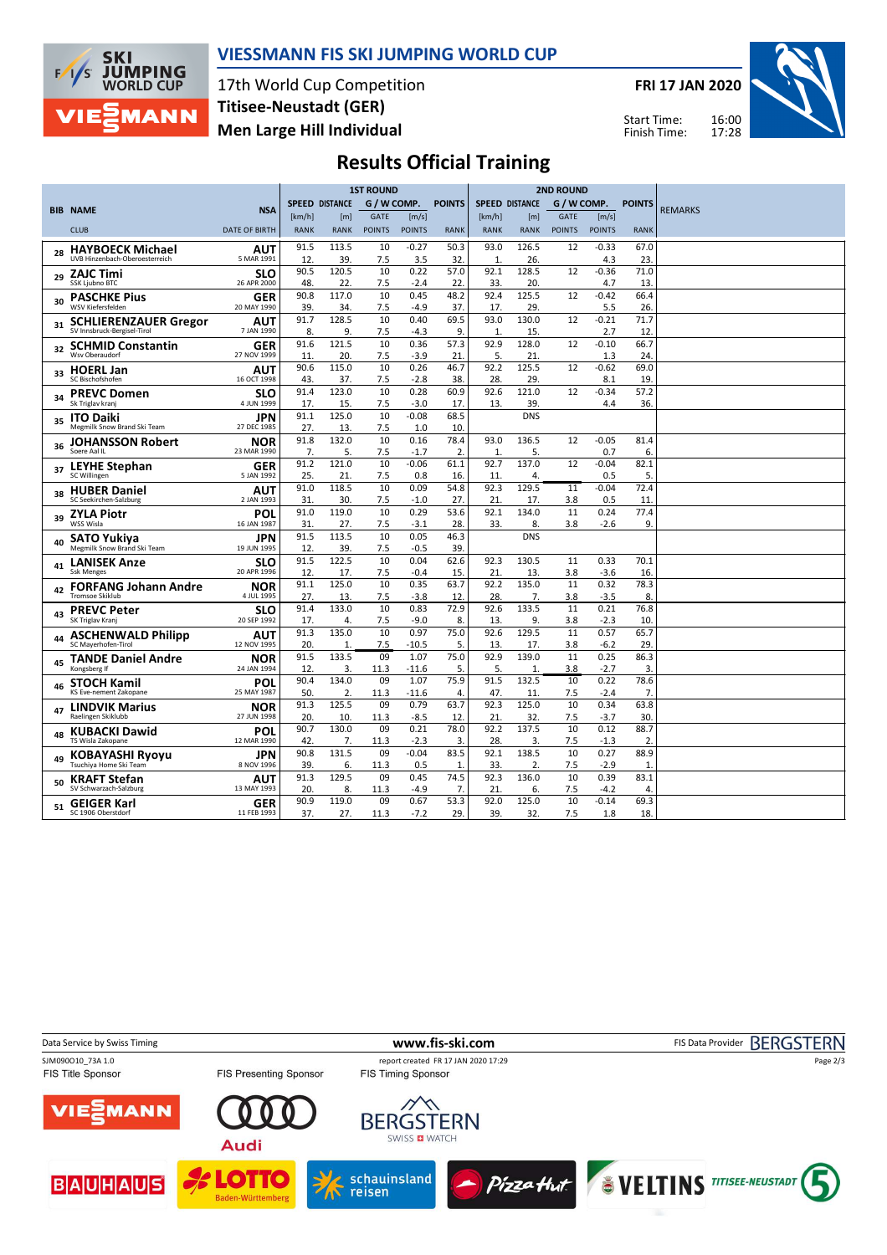

### **VIESSMANN FIS SKI JUMPING WORLD CUP**

17th World Cup Competition **Men Large Hill Individual Titisee-Neustadt (GER)**

**FRI 17 JAN 2020**



16:00 17:28 Start Time: Finish Time:

# **Results Official Training**

|    |                                                  |                           | <b>1ST ROUND</b> |                       |               |                 |               |                       | <b>2ND ROUND</b> |               |                   |                        |                |
|----|--------------------------------------------------|---------------------------|------------------|-----------------------|---------------|-----------------|---------------|-----------------------|------------------|---------------|-------------------|------------------------|----------------|
|    |                                                  |                           |                  | <b>SPEED DISTANCE</b> | G / W COMP.   |                 | <b>POINTS</b> | <b>SPEED DISTANCE</b> |                  | G / W COMP.   |                   | <b>POINTS</b>          |                |
|    | <b>BIB NAME</b>                                  | <b>NSA</b>                | [km/h]           | [m]                   | GATE          | [m/s]           |               | [km/h]                | [m]              | <b>GATE</b>   | [m/s]             |                        | <b>REMARKS</b> |
|    | <b>CLUB</b>                                      | <b>DATE OF BIRTH</b>      | <b>RANK</b>      | <b>RANK</b>           | <b>POINTS</b> | <b>POINTS</b>   | <b>RANK</b>   | <b>RANK</b>           | <b>RANK</b>      | <b>POINTS</b> | <b>POINTS</b>     | <b>RANK</b>            |                |
| 28 | <b>HAYBOECK Michael</b>                          | AUT                       | 91.5             | 113.5                 | 10            | $-0.27$         | 50.3          | 93.0                  | 126.5            | 12            | $-0.33$           | 67.0                   |                |
|    | UVB Hinzenbach-Oberoesterreich                   | 5 MAR 1991                | 12.              | 39.                   | 7.5           | 3.5             | 32.           | $\mathbf{1}$          | 26.              |               | 4.3               | 23                     |                |
| 29 | ZAJC Timi                                        | SLO                       | 90.5             | 120.5                 | 10            | 0.22            | 57.0          | 92.1                  | 128.5            | 12            | $-0.36$           | 71.0                   |                |
|    | SSK Ljubno BTC                                   | 26 APR 2000               | 48.              | 22.                   | 7.5           | $-2.4$          | 22.           | 33.                   | 20.              |               | 4.7               | 13                     |                |
| 30 | <b>PASCHKE Pius</b><br><b>WSV Kiefersfelden</b>  | <b>GER</b><br>20 MAY 1990 | 90.8<br>39.      | 117.0<br>34.          | 10<br>7.5     | 0.45<br>$-4.9$  | 48.2<br>37.   | 92.4<br>17.           | 125.5<br>29.     | 12            | $-0.42$<br>5.5    | 66.4<br>26.            |                |
| 31 | <b>SCHLIERENZAUER Gregor</b>                     | AUT                       | 91.7             | 128.5                 | 10            | 0.40            | 69.5          | 93.0                  | 130.0            | 12            | $-0.21$           | 71.7                   |                |
|    | SV Innsbruck-Bergisel-Tirol                      | 7 JAN 1990                | 8.               | 9.                    | 7.5           | $-4.3$          | 9.            | $\mathbf{1}$          | 15.              |               | 2.7               | 12                     |                |
| 32 | <b>SCHMID Constantin</b>                         | <b>GER</b>                | 91.6             | 121.5                 | 10            | 0.36            | 57.3          | 92.9                  | 128.0            | 12            | $-0.10$           | 66.7                   |                |
|    | Wsv Oberaudorf                                   | 27 NOV 1999               | 11.              | 20.                   | 7.5           | $-3.9$          | 21            | 5.                    | 21.              |               | 1.3               | 24                     |                |
| 33 | <b>HOERL Jan</b>                                 | AUT                       | 90.6             | 115.0                 | 10            | 0.26            | 46.7          | 92.2                  | 125.5            | 12            | $-0.62$           | 69.0                   |                |
|    | SC Bischofshofen                                 | 16 OCT 1998               | 43.<br>91.4      | 37.<br>123.0          | 7.5<br>10     | $-2.8$<br>0.28  | 38.<br>60.9   | 28.<br>92.6           | 29.<br>121.0     | 12            | 8.1<br>$-0.34$    | 19<br>57.2             |                |
| 34 | <b>PREVC Domen</b><br>Sk Triglav kranj           | SLO<br>4 JUN 1999         | 17.              | 15.                   | 7.5           | $-3.0$          | 17.           | 13.                   | 39.              |               | 4.4               | 36.                    |                |
|    |                                                  | JPN                       | 91.1             | 125.0                 | 10            | $-0.08$         | 68.5          |                       | <b>DNS</b>       |               |                   |                        |                |
| 35 | <b>ITO Daiki</b><br>Megmilk Snow Brand Ski Team  | 27 DEC 1985               | 27.              | 13.                   | 7.5           | 1.0             | 10.           |                       |                  |               |                   |                        |                |
|    | <b>JOHANSSON Robert</b>                          | <b>NOR</b>                | 91.8             | 132.0                 | 10            | 0.16            | 78.4          | 93.0                  | 136.5            | 12            | $-0.05$           | 81.4                   |                |
| 36 | Soere Aal IL                                     | 23 MAR 1990               | 7.               | 5.                    | 7.5           | $-1.7$          | 2.            | $\mathbf{1}$          | 5.               |               | 0.7               | 6                      |                |
| 37 | <b>LEYHE Stephan</b>                             | <b>GER</b>                | 91.2             | 121.0                 | 10            | $-0.06$         | 61.1          | 92.7                  | 137.0            | 12            | $-0.04$           | 82.1                   |                |
|    | SC Willingen                                     | 5 JAN 1992                | 25.              | 21.                   | 7.5           | 0.8             | 16.           | 11                    | 4.               |               | 0.5               | 5.                     |                |
| 38 | <b>HUBER Daniel</b>                              | AUT                       | 91.0             | 118.5                 | 10            | 0.09            | 54.8          | 92.3                  | 129.5            | 11            | $-0.04$           | 72.4                   |                |
|    | SC Seekirchen-Salzburg                           | 2 JAN 1993                | 31.              | 30.                   | 7.5           | $-1.0$          | 27.           | 21                    | 17.              | 3.8           | 0.5               | 11                     |                |
| 39 | <b>ZYLA Piotr</b><br>WSS Wisla                   | POL                       | 91.0             | 119.0                 | 10            | 0.29            | 53.6          | 92.1                  | 134.0            | 11            | 0.24              | 77.4                   |                |
|    |                                                  | 16 JAN 1987               | 31.<br>91.5      | 27.<br>113.5          | 7.5<br>10     | $-3.1$<br>0.05  | 28.<br>46.3   | 33.                   | 8.<br><b>DNS</b> | 3.8           | $-2.6$            | 9                      |                |
| 40 | SATO Yukiya<br>Megmilk Snow Brand Ski Team       | JPN<br>19 JUN 1995        | 12.              | 39.                   | 7.5           | $-0.5$          | 39.           |                       |                  |               |                   |                        |                |
|    | <b>LANISEK Anze</b>                              | SLO                       | 91.5             | 122.5                 | 10            | 0.04            | 62.6          | 92.3                  | 130.5            | 11            | 0.33              | 70.1                   |                |
| 41 | Ssk Menges                                       | 20 APR 1996               | 12.              | 17.                   | 7.5           | $-0.4$          | 15.           | 21                    | 13.              | 3.8           | $-3.6$            | 16                     |                |
|    | <b>FORFANG Johann Andre</b>                      | <b>NOR</b>                | 91.1             | 125.0                 | 10            | 0.35            | 63.7          | 92.2                  | 135.0            | 11            | 0.32              | 78.3                   |                |
| 42 | <b>Tromsoe Skiklub</b>                           | 4 JUL 1995                | 27.              | 13.                   | 7.5           | $-3.8$          | 12.           | 28.                   | 7.               | 3.8           | $-3.5$            | 8                      |                |
| 43 | <b>PREVC Peter</b>                               | SLO                       | 91.4             | 133.0                 | 10            | 0.83            | 72.9          | 92.6                  | 133.5            | 11            | 0.21              | 76.8                   |                |
|    | SK Triglav Kranj                                 | 20 SEP 1992               | 17.              | 4.                    | 7.5           | $-9.0$          | 8.            | 13.                   | 9.               | 3.8           | $-2.3$            | 10.                    |                |
|    | <b>ASCHENWALD Philipp</b><br>SC Maverhofen-Tirol | <b>AUT</b>                | 91.3             | 135.0                 | 10            | 0.97            | 75.0          | 92.6                  | 129.5            | 11            | 0.57              | 65.7                   |                |
|    |                                                  | 12 NOV 1995               | 20.<br>91.5      | $\mathbf{1}$<br>133.5 | 7.5<br>09     | $-10.5$<br>1.07 | 5.<br>75.0    | 13.<br>92.9           | 17.<br>139.0     | 3.8<br>11     | $-6.2$<br>0.25    | 29                     |                |
|    | <b>TANDE Daniel Andre</b><br>Kongsberg If        | <b>NOR</b><br>24 JAN 1994 | 12.              | 3.                    | 11.3          | $-11.6$         | 5.            | 5.                    | $\mathbf{1}$     | 3.8           | $-2.7$            | 86.3<br>3.             |                |
|    | <b>STOCH Kamil</b>                               | POL                       | 90.4             | 134.0                 | 09            | 1.07            | 75.9          | 91.5                  | 132.5            | 10            | 0.22              | 78.6                   |                |
| 46 | KS Eve-nement Zakopane                           | 25 MAY 1987               | 50.              | 2.                    | 11.3          | $-11.6$         | 4.            | 47.                   | 11.              | 7.5           | $-2.4$            | $\overline{7}$         |                |
|    | <b>LINDVIK Marius</b>                            | NOR                       | 91.3             | 125.5                 | 09            | 0.79            | 63.7          | 92.3                  | 125.0            | 10            | 0.34              | 63.8                   |                |
| 47 | Raelingen Skiklubb                               | 27 JUN 1998               | 20.              | 10.                   | 11.3          | $-8.5$          | 12            | 21                    | 32.              | 7.5           | $-3.7$            | 30                     |                |
| 48 | <b>KUBACKI Dawid</b>                             | POL                       | 90.7             | 130.0                 | 09            | 0.21            | 78.0          | 92.2                  | 137.5            | 10            | 0.12              | 88.7                   |                |
|    | TS Wisla Zakopane                                | 12 MAR 1990               | 42.              | 7.                    | 11.3          | $-2.3$          | 3.            | 28.                   | 3.               | 7.5           | $-1.3$            | $\overline{2}$         |                |
| 49 | <b>KOBAYASHI Ryoyu</b>                           | JPN                       | 90.8             | 131.5                 | 09            | $-0.04$         | 83.5          | 92.1                  | 138.5            | 10            | 0.27              | 88.9                   |                |
|    | Tsuchiya Home Ski Team                           | 8 NOV 1996                | 39.              | 6.                    | 11.3          | 0.5             | 1.            | 33.                   | 2.               | 7.5           | $-2.9$            | $\mathbf{1}$           |                |
| 50 | <b>KRAFT Stefan</b><br>SV Schwarzach-Salzburg    | AUT<br>13 MAY 1993        | 91.3             | 129.5                 | 09            | 0.45            | 74.5<br>7.    | 92.3                  | 136.0            | 10            | 0.39              | 83.1                   |                |
|    |                                                  |                           | 20.<br>90.9      | 8.<br>119.0           | 11.3<br>09    | -4.9<br>0.67    | 53.3          | 21<br>92.0            | 6.<br>125.0      | 7.5<br>10     | $-4.2$<br>$-0.14$ | $\overline{4}$<br>69.3 |                |
| 51 | <b>GEIGER Karl</b><br>SC 1906 Oberstdorf         | GER<br>11 FEB 1993        | 37.              | 27.                   | 11.3          | $-7.2$          | 29.           | 39.                   | 32.              | 7.5           | 1.8               | 18.                    |                |